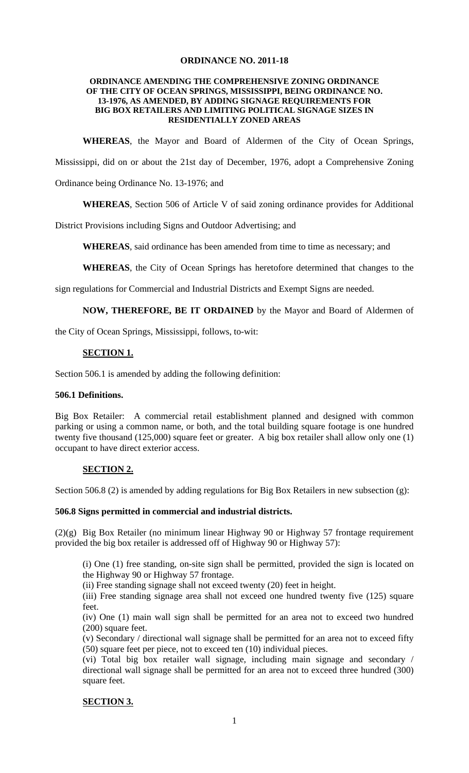## **ORDINANCE NO. 2011-18**

#### **ORDINANCE AMENDING THE COMPREHENSIVE ZONING ORDINANCE OF THE CITY OF OCEAN SPRINGS, MISSISSIPPI, BEING ORDINANCE NO. 13-1976, AS AMENDED, BY ADDING SIGNAGE REQUIREMENTS FOR BIG BOX RETAILERS AND LIMITING POLITICAL SIGNAGE SIZES IN RESIDENTIALLY ZONED AREAS**

**WHEREAS**, the Mayor and Board of Aldermen of the City of Ocean Springs,

Mississippi, did on or about the 21st day of December, 1976, adopt a Comprehensive Zoning

Ordinance being Ordinance No. 13-1976; and

**WHEREAS**, Section 506 of Article V of said zoning ordinance provides for Additional

District Provisions including Signs and Outdoor Advertising; and

**WHEREAS**, said ordinance has been amended from time to time as necessary; and

**WHEREAS**, the City of Ocean Springs has heretofore determined that changes to the

sign regulations for Commercial and Industrial Districts and Exempt Signs are needed.

#### **NOW, THEREFORE, BE IT ORDAINED** by the Mayor and Board of Aldermen of

the City of Ocean Springs, Mississippi, follows, to-wit:

### **SECTION 1.**

Section 506.1 is amended by adding the following definition:

#### **506.1 Definitions.**

Big Box Retailer: A commercial retail establishment planned and designed with common parking or using a common name, or both, and the total building square footage is one hundred twenty five thousand (125,000) square feet or greater. A big box retailer shall allow only one (1) occupant to have direct exterior access.

#### **SECTION 2.**

Section 506.8 (2) is amended by adding regulations for Big Box Retailers in new subsection (g):

#### **506.8 Signs permitted in commercial and industrial districts.**

(2)(g) Big Box Retailer (no minimum linear Highway 90 or Highway 57 frontage requirement provided the big box retailer is addressed off of Highway 90 or Highway 57):

(i) One (1) free standing, on-site sign shall be permitted, provided the sign is located on the Highway 90 or Highway 57 frontage.

(ii) Free standing signage shall not exceed twenty (20) feet in height.

(iii) Free standing signage area shall not exceed one hundred twenty five (125) square feet.

(iv) One (1) main wall sign shall be permitted for an area not to exceed two hundred (200) square feet.

(v) Secondary / directional wall signage shall be permitted for an area not to exceed fifty (50) square feet per piece, not to exceed ten (10) individual pieces.

(vi) Total big box retailer wall signage, including main signage and secondary / directional wall signage shall be permitted for an area not to exceed three hundred (300) square feet.

#### **SECTION 3.**